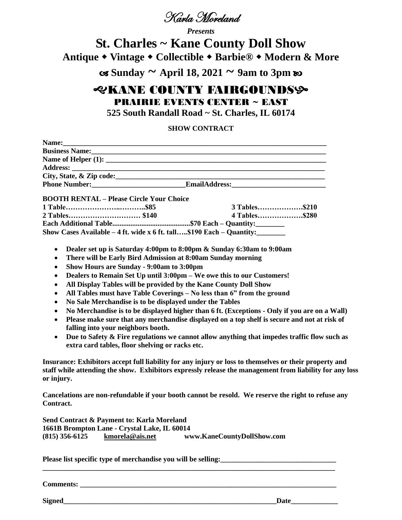

*Presents*

# **St. Charles ~ Kane County Doll Show Antique Vintage Collectible Barbie® Modern & More**

 $\cos$  Sunday  $\sim$  April 18, 2021  $\sim$  9am to 3pm  $\infty$ 

## *EXANE COUNTY FAIRGOUNDSS* PRAIRIE EVENTS CENTER ~ EAST

**525 South Randall Road ~ St. Charles, IL 60174**

#### **SHOW CONTRACT**

|                                                                             | City, State, & Zip code: |
|-----------------------------------------------------------------------------|--------------------------|
|                                                                             |                          |
| <b>BOOTH RENTAL - Please Circle Your Choice</b>                             |                          |
|                                                                             |                          |
|                                                                             |                          |
|                                                                             |                          |
| Show Cases Available - 4 ft. wide x 6 ft. tall\$190 Each - Quantity:_______ |                          |

- **Dealer set up is Saturday 4:00pm to 8:00pm & Sunday 6:30am to 9:00am**
- **There will be Early Bird Admission at 8:00am Sunday morning**
- **Show Hours are Sunday - 9:00am to 3:00pm**
- **Dealers to Remain Set Up until 3:00pm – We owe this to our Customers!**
- **All Display Tables will be provided by the Kane County Doll Show**
- **All Tables must have Table Coverings – No less than 6" from the ground**
- **No Sale Merchandise is to be displayed under the Tables**
- **No Merchandise is to be displayed higher than 6 ft. (Exceptions - Only if you are on a Wall)**
- **Please make sure that any merchandise displayed on a top shelf is secure and not at risk of falling into your neighbors booth.**
- **Due to Safety & Fire regulations we cannot allow anything that impedes traffic flow such as extra card tables, floor shelving or racks etc.**

**Insurance: Exhibitors accept full liability for any injury or loss to themselves or their property and staff while attending the show. Exhibitors expressly release the management from liability for any loss or injury.**

**Cancelations are non-refundable if your booth cannot be resold. We reserve the right to refuse any Contract.**

**\_\_\_\_\_\_\_\_\_\_\_\_\_\_\_\_\_\_\_\_\_\_\_\_\_\_\_\_\_\_\_\_\_\_\_\_\_\_\_\_\_\_\_\_\_\_\_\_\_\_\_\_\_\_\_\_\_\_\_\_\_\_\_\_\_\_\_\_\_\_\_\_\_\_\_\_\_\_\_\_\_**

**Send Contract & Payment to: Karla Moreland 1661B Brompton Lane - Crystal Lake, IL 60014 (815) 356-6125 [kmorela@ais.net](mailto:kmorela@ais.net) www.KaneCountyDollShow.com**

**Please list specific type of merchandise you will be selling:\_\_\_\_\_\_\_\_\_\_\_\_\_\_\_\_\_\_\_\_\_\_\_\_\_\_\_\_\_\_\_\_** 

**Comments:** 

**Signed\_\_\_\_\_\_\_\_\_\_\_\_\_\_\_\_\_\_\_\_\_\_\_\_\_\_\_\_\_\_\_\_\_\_\_\_\_\_\_\_\_\_\_\_\_\_\_\_\_\_\_\_\_\_\_\_\_\_\_Date\_\_\_\_\_\_\_\_\_\_\_\_\_**